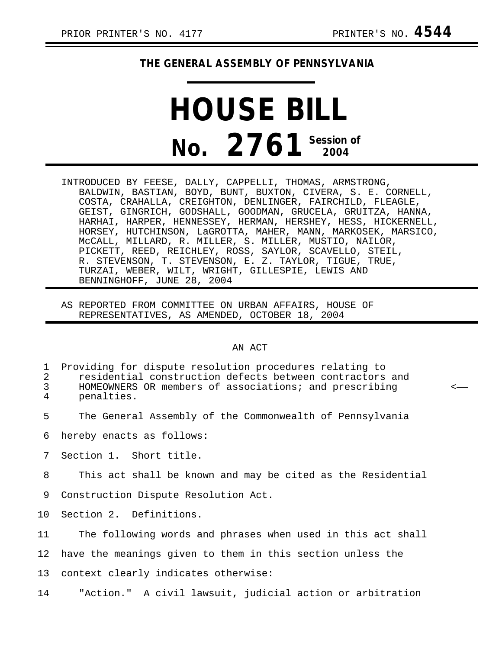## **THE GENERAL ASSEMBLY OF PENNSYLVANIA**

## **HOUSE BILL No. 2761 Session of 2004**

- INTRODUCED BY FEESE, DALLY, CAPPELLI, THOMAS, ARMSTRONG, BALDWIN, BASTIAN, BOYD, BUNT, BUXTON, CIVERA, S. E. CORNELL, COSTA, CRAHALLA, CREIGHTON, DENLINGER, FAIRCHILD, FLEAGLE, GEIST, GINGRICH, GODSHALL, GOODMAN, GRUCELA, GRUITZA, HANNA, HARHAI, HARPER, HENNESSEY, HERMAN, HERSHEY, HESS, HICKERNELL, HORSEY, HUTCHINSON, LaGROTTA, MAHER, MANN, MARKOSEK, MARSICO, McCALL, MILLARD, R. MILLER, S. MILLER, MUSTIO, NAILOR, PICKETT, REED, REICHLEY, ROSS, SAYLOR, SCAVELLO, STEIL, R. STEVENSON, T. STEVENSON, E. Z. TAYLOR, TIGUE, TRUE, TURZAI, WEBER, WILT, WRIGHT, GILLESPIE, LEWIS AND BENNINGHOFF, JUNE 28, 2004
- AS REPORTED FROM COMMITTEE ON URBAN AFFAIRS, HOUSE OF REPRESENTATIVES, AS AMENDED, OCTOBER 18, 2004

## AN ACT

| 1<br>$\mathbf{2}$<br>$\mathfrak{Z}$<br>4 | Providing for dispute resolution procedures relating to<br>residential construction defects between contractors and<br>HOMEOWNERS OR members of associations; and prescribing<br>penalties. | ≺ |
|------------------------------------------|---------------------------------------------------------------------------------------------------------------------------------------------------------------------------------------------|---|
| 5                                        | The General Assembly of the Commonwealth of Pennsylvania                                                                                                                                    |   |
| 6                                        | hereby enacts as follows:                                                                                                                                                                   |   |
| 7                                        | Section 1. Short title.                                                                                                                                                                     |   |
| 8                                        | This act shall be known and may be cited as the Residential                                                                                                                                 |   |
| 9                                        | Construction Dispute Resolution Act.                                                                                                                                                        |   |
| 10 <sup>°</sup>                          | Section 2. Definitions.                                                                                                                                                                     |   |
| 11                                       | The following words and phrases when used in this act shall                                                                                                                                 |   |
| 12                                       | have the meanings given to them in this section unless the                                                                                                                                  |   |
| 13                                       | context clearly indicates otherwise:                                                                                                                                                        |   |
| 14                                       | "Action." A civil lawsuit, judicial action or arbitration                                                                                                                                   |   |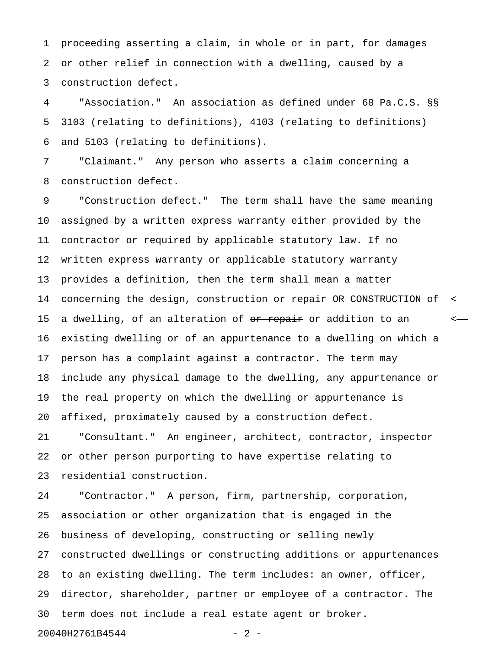1 proceeding asserting a claim, in whole or in part, for damages 2 or other relief in connection with a dwelling, caused by a 3 construction defect.

4 "Association." An association as defined under 68 Pa.C.S. §§ 5 3103 (relating to definitions), 4103 (relating to definitions) 6 and 5103 (relating to definitions).

7 "Claimant." Any person who asserts a claim concerning a 8 construction defect.

9 "Construction defect." The term shall have the same meaning 10 assigned by a written express warranty either provided by the 11 contractor or required by applicable statutory law. If no 12 written express warranty or applicable statutory warranty 13 provides a definition, then the term shall mean a matter 14 concerning the design<del>, construction or repair</del> OR CONSTRUCTION of <-15 a dwelling, of an alteration of  $\overline{or}$  repair or addition to an  $\overline{c}$ 16 existing dwelling or of an appurtenance to a dwelling on which a 17 person has a complaint against a contractor. The term may 18 include any physical damage to the dwelling, any appurtenance or 19 the real property on which the dwelling or appurtenance is 20 affixed, proximately caused by a construction defect.

21 "Consultant." An engineer, architect, contractor, inspector 22 or other person purporting to have expertise relating to 23 residential construction.

24 "Contractor." A person, firm, partnership, corporation, 25 association or other organization that is engaged in the 26 business of developing, constructing or selling newly 27 constructed dwellings or constructing additions or appurtenances 28 to an existing dwelling. The term includes: an owner, officer, 29 director, shareholder, partner or employee of a contractor. The 30 term does not include a real estate agent or broker.

20040H2761B4544 - 2 -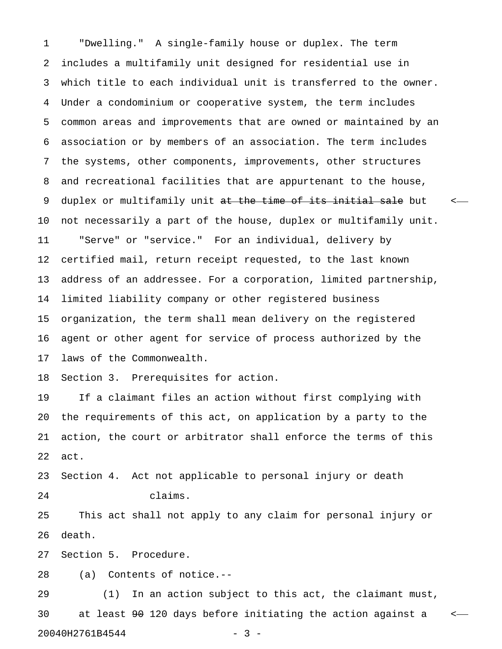1 "Dwelling." A single-family house or duplex. The term 2 includes a multifamily unit designed for residential use in 3 which title to each individual unit is transferred to the owner. 4 Under a condominium or cooperative system, the term includes 5 common areas and improvements that are owned or maintained by an 6 association or by members of an association. The term includes 7 the systems, other components, improvements, other structures 8 and recreational facilities that are appurtenant to the house, 9 duplex or multifamily unit at the time of its initial sale but  $\sim$ 10 not necessarily a part of the house, duplex or multifamily unit. 11 "Serve" or "service." For an individual, delivery by 12 certified mail, return receipt requested, to the last known 13 address of an addressee. For a corporation, limited partnership, 14 limited liability company or other registered business 15 organization, the term shall mean delivery on the registered 16 agent or other agent for service of process authorized by the 17 laws of the Commonwealth.

18 Section 3. Prerequisites for action.

19 If a claimant files an action without first complying with 20 the requirements of this act, on application by a party to the 21 action, the court or arbitrator shall enforce the terms of this 22 act.

23 Section 4. Act not applicable to personal injury or death 24 claims.

25 This act shall not apply to any claim for personal injury or 26 death.

27 Section 5. Procedure.

28 (a) Contents of notice.--

29 (1) In an action subject to this act, the claimant must, 30 at least  $90$  120 days before initiating the action against a  $\leftarrow$ 20040H2761B4544 - 3 -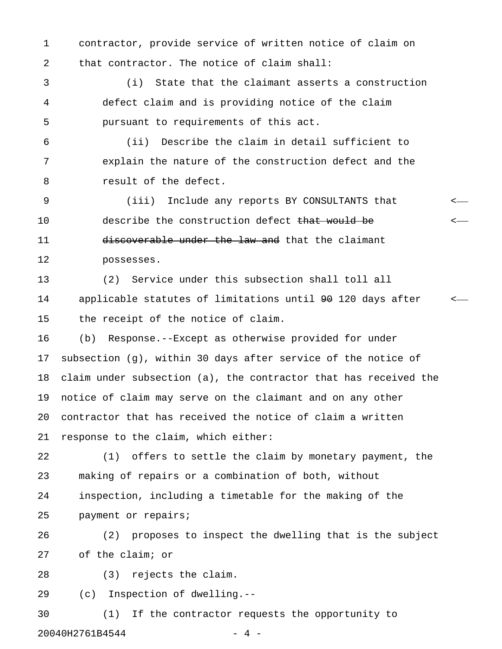1 contractor, provide service of written notice of claim on 2 that contractor. The notice of claim shall:

3 (i) State that the claimant asserts a construction 4 defect claim and is providing notice of the claim 5 pursuant to requirements of this act.

6 (ii) Describe the claim in detail sufficient to 7 explain the nature of the construction defect and the 8 result of the defect.

9 (iii) Include any reports BY CONSULTANTS that < 10 describe the construction defect <del>that would be</del>  $\leftarrow$ 11 discoverable under the law and that the claimant 12 possesses.

13 (2) Service under this subsection shall toll all 14 applicable statutes of limitations until 90 120 days after < 15 the receipt of the notice of claim.

16 (b) Response.--Except as otherwise provided for under 17 subsection (g), within 30 days after service of the notice of 18 claim under subsection (a), the contractor that has received the 19 notice of claim may serve on the claimant and on any other 20 contractor that has received the notice of claim a written 21 response to the claim, which either:

22 (1) offers to settle the claim by monetary payment, the 23 making of repairs or a combination of both, without 24 inspection, including a timetable for the making of the 25 payment or repairs;

26 (2) proposes to inspect the dwelling that is the subject 27 of the claim; or

28 (3) rejects the claim.

29 (c) Inspection of dwelling.--

30 (1) If the contractor requests the opportunity to 20040H2761B4544 - 20040H2761B4544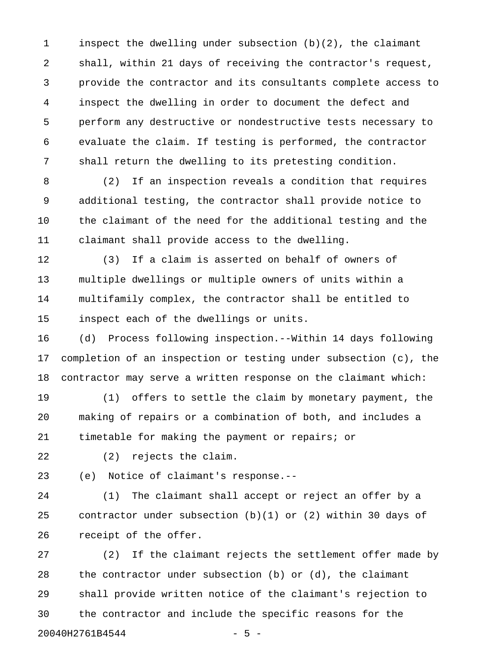1 inspect the dwelling under subsection (b)(2), the claimant 2 shall, within 21 days of receiving the contractor's request, 3 provide the contractor and its consultants complete access to 4 inspect the dwelling in order to document the defect and 5 perform any destructive or nondestructive tests necessary to 6 evaluate the claim. If testing is performed, the contractor 7 shall return the dwelling to its pretesting condition.

8 (2) If an inspection reveals a condition that requires 9 additional testing, the contractor shall provide notice to 10 the claimant of the need for the additional testing and the 11 claimant shall provide access to the dwelling.

12 (3) If a claim is asserted on behalf of owners of 13 multiple dwellings or multiple owners of units within a 14 multifamily complex, the contractor shall be entitled to 15 inspect each of the dwellings or units.

16 (d) Process following inspection.--Within 14 days following 17 completion of an inspection or testing under subsection (c), the 18 contractor may serve a written response on the claimant which:

19 (1) offers to settle the claim by monetary payment, the 20 making of repairs or a combination of both, and includes a 21 timetable for making the payment or repairs; or

22 (2) rejects the claim.

23 (e) Notice of claimant's response.--

24 (1) The claimant shall accept or reject an offer by a 25 contractor under subsection (b)(1) or (2) within 30 days of 26 receipt of the offer.

27 (2) If the claimant rejects the settlement offer made by 28 the contractor under subsection (b) or (d), the claimant 29 shall provide written notice of the claimant's rejection to 30 the contractor and include the specific reasons for the 20040H2761B4544 - 5 -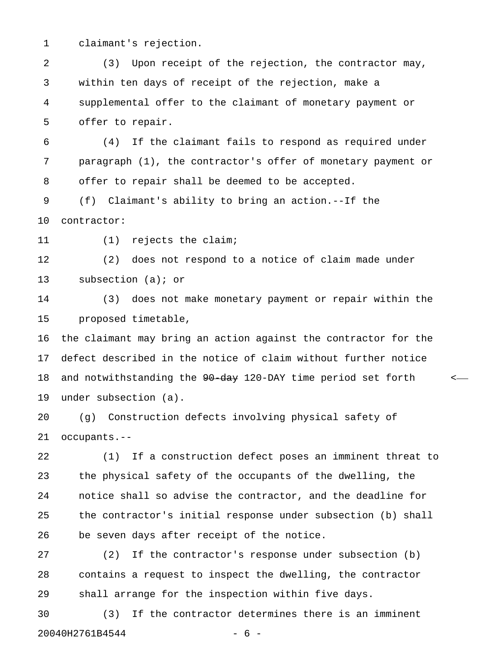1 claimant's rejection.

2 (3) Upon receipt of the rejection, the contractor may, 3 within ten days of receipt of the rejection, make a 4 supplemental offer to the claimant of monetary payment or 5 offer to repair.

6 (4) If the claimant fails to respond as required under 7 paragraph (1), the contractor's offer of monetary payment or 8 offer to repair shall be deemed to be accepted.

9 (f) Claimant's ability to bring an action.--If the 10 contractor:

11 (1) rejects the claim;

12 (2) does not respond to a notice of claim made under 13 subsection (a); or

14 (3) does not make monetary payment or repair within the 15 proposed timetable,

16 the claimant may bring an action against the contractor for the 17 defect described in the notice of claim without further notice 18 and notwithstanding the  $90-day$  120-DAY time period set forth <-19 under subsection (a).

20 (g) Construction defects involving physical safety of 21 occupants.--

22 (1) If a construction defect poses an imminent threat to 23 the physical safety of the occupants of the dwelling, the 24 notice shall so advise the contractor, and the deadline for 25 the contractor's initial response under subsection (b) shall 26 be seven days after receipt of the notice.

27 (2) If the contractor's response under subsection (b) 28 contains a request to inspect the dwelling, the contractor 29 shall arrange for the inspection within five days.

30 (3) If the contractor determines there is an imminent 20040H2761B4544 - 6 -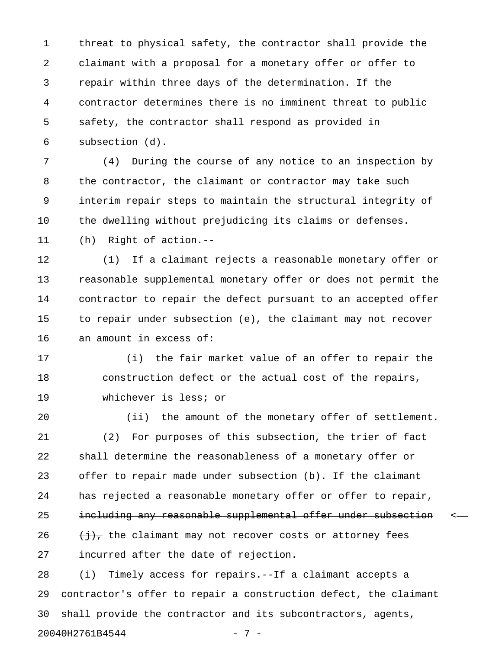1 threat to physical safety, the contractor shall provide the 2 claimant with a proposal for a monetary offer or offer to 3 repair within three days of the determination. If the 4 contractor determines there is no imminent threat to public 5 safety, the contractor shall respond as provided in 6 subsection (d).

7 (4) During the course of any notice to an inspection by 8 the contractor, the claimant or contractor may take such 9 interim repair steps to maintain the structural integrity of 10 the dwelling without prejudicing its claims or defenses.

11 (h) Right of action.--

12 (1) If a claimant rejects a reasonable monetary offer or 13 reasonable supplemental monetary offer or does not permit the 14 contractor to repair the defect pursuant to an accepted offer 15 to repair under subsection (e), the claimant may not recover 16 an amount in excess of:

17 (i) the fair market value of an offer to repair the 18 construction defect or the actual cost of the repairs, 19 whichever is less; or

20 (ii) the amount of the monetary offer of settlement. 21 (2) For purposes of this subsection, the trier of fact 22 shall determine the reasonableness of a monetary offer or 23 offer to repair made under subsection (b). If the claimant 24 has rejected a reasonable monetary offer or offer to repair, 25 including any reasonable supplemental offer under subsection  $\sim$ 26  $\left(\frac{1}{2}\right)$ , the claimant may not recover costs or attorney fees 27 incurred after the date of rejection.

28 (i) Timely access for repairs.--If a claimant accepts a 29 contractor's offer to repair a construction defect, the claimant 30 shall provide the contractor and its subcontractors, agents, 20040H2761B4544 - 7 -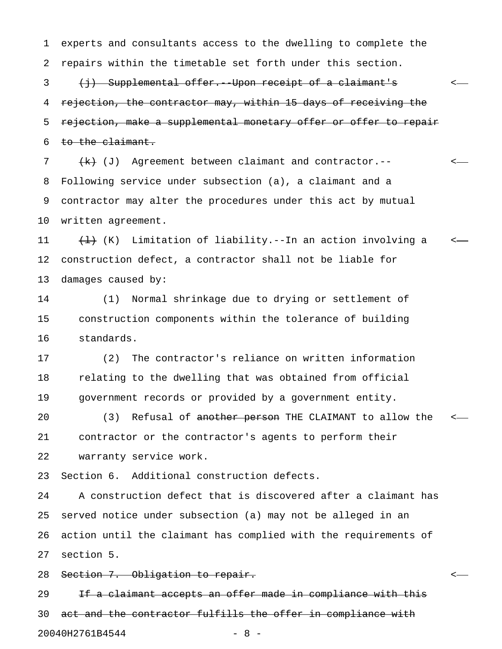1 experts and consultants access to the dwelling to complete the 2 repairs within the timetable set forth under this section.

3 (j) Supplemental offer. Upon receipt of a claimant's  $\leftarrow$ 4 rejection, the contractor may, within 15 days of receiving the 5 rejection, make a supplemental monetary offer or offer to repair 6 to the claimant.

7  $\{k\}$  (J) Agreement between claimant and contractor.--8 Following service under subsection (a), a claimant and a 9 contractor may alter the procedures under this act by mutual 10 written agreement.

11  $\left(\frac{1}{1}\right)$  (K) Limitation of liability.--In an action involving a  $\leftarrow$ 12 construction defect, a contractor shall not be liable for 13 damages caused by:

14 (1) Normal shrinkage due to drying or settlement of 15 construction components within the tolerance of building 16 standards.

17 (2) The contractor's reliance on written information 18 relating to the dwelling that was obtained from official 19 government records or provided by a government entity.

20 (3) Refusal of <del>another person</del> THE CLAIMANT to allow the <-21 contractor or the contractor's agents to perform their 22 warranty service work.

23 Section 6. Additional construction defects.

24 A construction defect that is discovered after a claimant has 25 served notice under subsection (a) may not be alleged in an 26 action until the claimant has complied with the requirements of 27 section 5.

28 Section 7. Obligation to repair. <

29 If a claimant accepts an offer made in compliance with this 30 act and the contractor fulfills the offer in compliance with 20040H2761B4544 - 8 -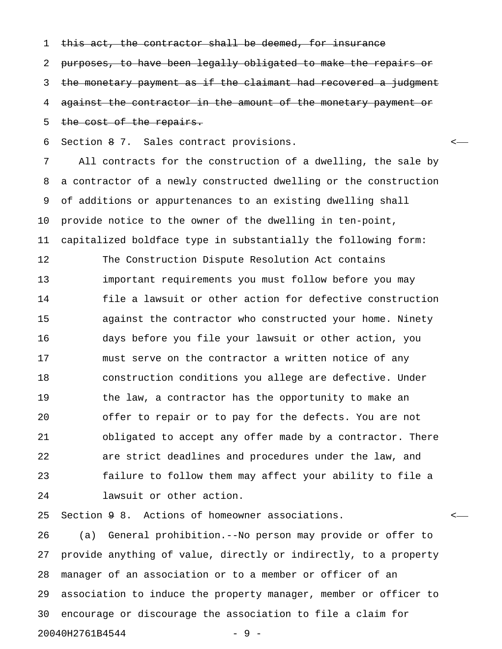1 this act, the contractor shall be deemed, for insurance

2 purposes, to have been legally obligated to make the repairs or 3 the monetary payment as if the claimant had recovered a judgment 4 against the contractor in the amount of the monetary payment or 5 the cost of the repairs.

6 Section 8 7. Sales contract provisions. <

7 All contracts for the construction of a dwelling, the sale by 8 a contractor of a newly constructed dwelling or the construction 9 of additions or appurtenances to an existing dwelling shall 10 provide notice to the owner of the dwelling in ten-point, 11 capitalized boldface type in substantially the following form: 12 The Construction Dispute Resolution Act contains 13 important requirements you must follow before you may 14 file a lawsuit or other action for defective construction 15 against the contractor who constructed your home. Ninety 16 days before you file your lawsuit or other action, you 17 must serve on the contractor a written notice of any 18 construction conditions you allege are defective. Under 19 the law, a contractor has the opportunity to make an 20 offer to repair or to pay for the defects. You are not 21 obligated to accept any offer made by a contractor. There 22 are strict deadlines and procedures under the law, and 23 failure to follow them may affect your ability to file a 24 lawsuit or other action.

25 Section 9 8. Actions of homeowner associations. <

26 (a) General prohibition.--No person may provide or offer to 27 provide anything of value, directly or indirectly, to a property 28 manager of an association or to a member or officer of an 29 association to induce the property manager, member or officer to 30 encourage or discourage the association to file a claim for 20040H2761B4544 - 9 -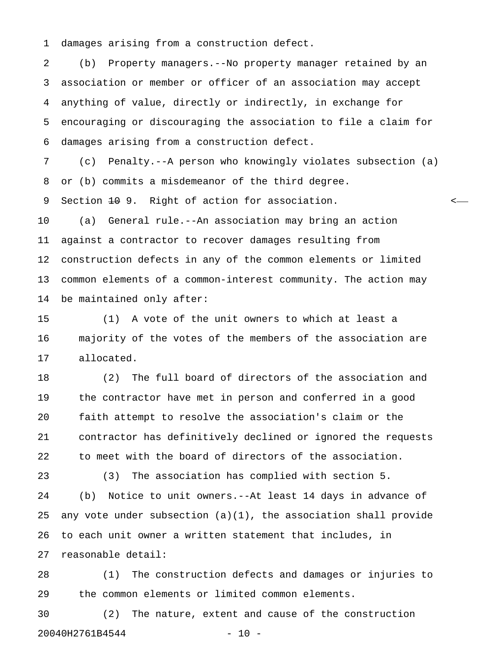1 damages arising from a construction defect.

2 (b) Property managers.--No property manager retained by an 3 association or member or officer of an association may accept 4 anything of value, directly or indirectly, in exchange for 5 encouraging or discouraging the association to file a claim for 6 damages arising from a construction defect.

7 (c) Penalty.--A person who knowingly violates subsection (a) 8 or (b) commits a misdemeanor of the third degree.

9 Section <del>10</del> 9. Right of action for association.  $\leftarrow$ 

10 (a) General rule.--An association may bring an action 11 against a contractor to recover damages resulting from 12 construction defects in any of the common elements or limited 13 common elements of a common-interest community. The action may 14 be maintained only after:

15 (1) A vote of the unit owners to which at least a 16 majority of the votes of the members of the association are 17 allocated.

18 (2) The full board of directors of the association and 19 the contractor have met in person and conferred in a good 20 faith attempt to resolve the association's claim or the 21 contractor has definitively declined or ignored the requests 22 to meet with the board of directors of the association.

23 (3) The association has complied with section 5. 24 (b) Notice to unit owners.--At least 14 days in advance of 25 any vote under subsection (a)(1), the association shall provide 26 to each unit owner a written statement that includes, in 27 reasonable detail:

28 (1) The construction defects and damages or injuries to 29 the common elements or limited common elements.

30 (2) The nature, extent and cause of the construction 20040H2761B4544 - 20040H2761B4544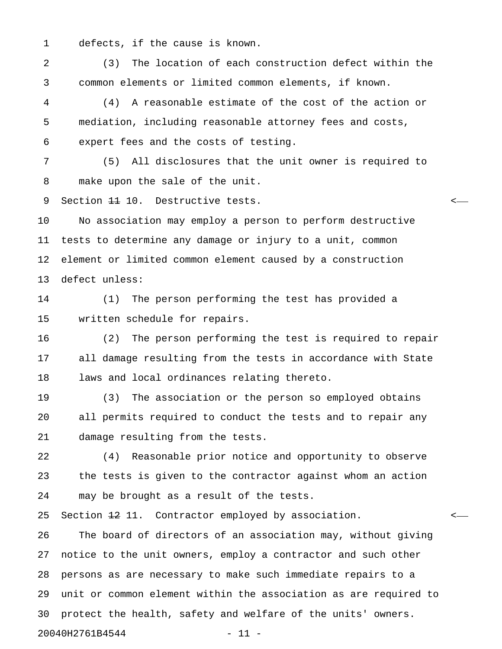1 defects, if the cause is known.

2 (3) The location of each construction defect within the 3 common elements or limited common elements, if known.

4 (4) A reasonable estimate of the cost of the action or 5 mediation, including reasonable attorney fees and costs, 6 expert fees and the costs of testing.

7 (5) All disclosures that the unit owner is required to 8 make upon the sale of the unit.

9 Section <del>11</del> 10. Destructive tests.

10 No association may employ a person to perform destructive 11 tests to determine any damage or injury to a unit, common 12 element or limited common element caused by a construction 13 defect unless:

14 (1) The person performing the test has provided a 15 written schedule for repairs.

16 (2) The person performing the test is required to repair 17 all damage resulting from the tests in accordance with State 18 laws and local ordinances relating thereto.

19 (3) The association or the person so employed obtains 20 all permits required to conduct the tests and to repair any 21 damage resulting from the tests.

22 (4) Reasonable prior notice and opportunity to observe 23 the tests is given to the contractor against whom an action 24 may be brought as a result of the tests.

25 Section  $\pm 2$  11. Contractor employed by association.  $\leftarrow$ 

26 The board of directors of an association may, without giving 27 notice to the unit owners, employ a contractor and such other 28 persons as are necessary to make such immediate repairs to a 29 unit or common element within the association as are required to 30 protect the health, safety and welfare of the units' owners. 20040H2761B4544 - 11 -